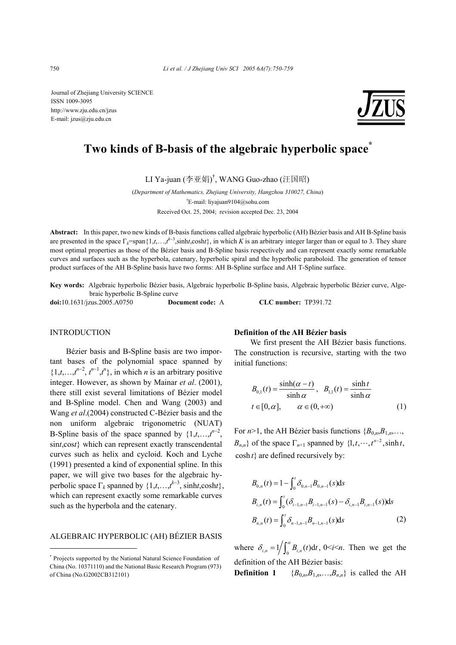Journal of Zhejiang University SCIENCE ISSN 1009-3095 http://www.zju.edu.cn/jzus E-mail: jzus@zju.edu.cn



# **Two kinds of B-basis of the algebraic hyperbolic space\***

LI Ya-juan (李亚娟) † , WANG Guo-zhao (汪国昭)

(*Department of Mathematics, Zhejiang University, Hangzhou 310027, China*) † E-mail: liyajuan9104@sohu.com Received Oct. 25, 2004; revision accepted Dec. 23, 2004

**Abstract:** In this paper, two new kinds of B-basis functions called algebraic hyperbolic (AH) Bézier basis and AH B-Spline basis are presented in the space  $\Gamma_k$ =span $\{1,t,\ldots,t^{k-3},\sinh t,\cosh t\}$ , in which *K* is an arbitrary integer larger than or equal to 3. They share most optimal properties as those of the Bézier basis and B-Spline basis respectively and can represent exactly some remarkable curves and surfaces such as the hyperbola, catenary, hyperbolic spiral and the hyperbolic paraboloid. The generation of tensor product surfaces of the AH B-Spline basis have two forms: AH B-Spline surface and AH T-Spline surface.

**Key words:** Algebraic hyperbolic Bézier basis, Algebraic hyperbolic B-Spline basis, Algebraic hyperbolic Bézier curve, Algebraic hyperbolic B-Spline curve

**doi:**10.1631/jzus.2005.A0750 **Document code:** A **CLC number:** TP391.72

## **INTRODUCTION**

Bézier basis and B-Spline basis are two important bases of the polynomial space spanned by  $\{1,t,\ldots,t^{n-2},t^{n-1},t^n\}$ , in which *n* is an arbitrary positive integer. However, as shown by Mainar *et al*. (2001), there still exist several limitations of Bézier model and B-Spline model. Chen and Wang (2003) and Wang *et al*.(2004) constructed C-Bézier basis and the non uniform algebraic trigonometric (NUAT) B-Spline basis of the space spanned by  $\{1,t,\ldots,t^{n-2}\}$ , sin*t*,cos*t*} which can represent exactly transcendental curves such as helix and cycloid. Koch and Lyche (1991) presented a kind of exponential spline. In this paper, we will give two bases for the algebraic hyperbolic space  $\Gamma_k$  spanned by  $\{1,t,\ldots,t^{k-3}, \text{sinht}, \text{cosh}t\},$ which can represent exactly some remarkable curves such as the hyperbola and the catenary.

## ALGEBRAIC HYPERBOLIC (AH) BÉZIER BASIS

## **Definition of the AH Bézier basis**

We first present the AH Bézier basis functions. The construction is recursive, starting with the two initial functions:

$$
B_{0,1}(t) = \frac{\sinh(\alpha - t)}{\sinh \alpha}, \quad B_{1,1}(t) = \frac{\sinh t}{\sinh \alpha}
$$
  

$$
t \in [0, \alpha], \qquad \alpha \in (0, +\infty)
$$
 (1)

For  $n>1$ , the AH Bézier basis functions  ${B_{0,n}, B_{1,n}, \ldots}$  $B_{n,n}$ } of the space  $\Gamma_{n+1}$  spanned by  $\{1, t, \dots, t^{n-2}, \sinh t\}$  $\cosh t$  are defined recursively by:

$$
B_{0,n}(t) = 1 - \int_0^t \delta_{0,n-1} B_{0,n-1}(s) ds
$$
  
\n
$$
B_{i,n}(t) = \int_0^t (\delta_{i-1,n-1} B_{i-1,n-1}(s) - \delta_{i,n-1} B_{i,n-1}(s)) ds
$$
  
\n
$$
B_{n,n}(t) = \int_0^t \delta_{n-1,n-1} B_{n-1,n-1}(s) ds
$$
\n(2)

where  $\delta_{i,n} = 1/\int_0^a B_{i,n}(t) dt$ ,  $0 < i < n$ . Then we get the definition of the AH Bézier basis:

**Definition 1**  ${B_{0,n}, B_{1,n}, \ldots, B_{n,n}}$  is called the AH

<sup>\*</sup> Projects supported by the National Natural Science Foundation of China (No. 10371110) and the National Basic Research Program (973) of China (No.G2002CB312101)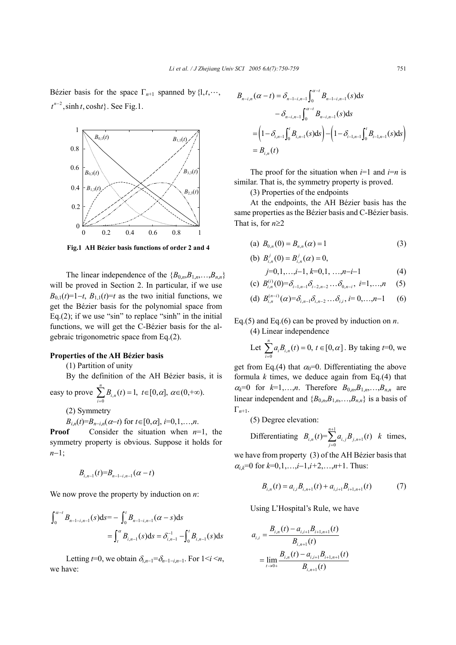Bézier basis for the space  $\Gamma_{n+1}$  spanned by  $\{1, t, \dots, t\}$  $t^{n-2}$ , sinh t, cosht}. See Fig.1.



**Fig.1 AH Bézier basis functions of order 2 and 4**

The linear independence of the  ${B_0}_{n}$ ,  ${B_1}_{n}$ , ...,  ${B_n}_{n}$ will be proved in Section 2. In particular, if we use  $B_{0,1}(t)=1-t$ ,  $B_{1,1}(t)=t$  as the two initial functions, we get the Bézier basis for the polynomial space from Eq.(2); if we use "sin" to replace "sinh" in the initial functions, we will get the C-Bézier basis for the algebraic trigonometric space from Eq.(2).

## **Properties of the AH Bézier basis**

(1) Partition of unity

By the definition of the AH Bézier basis, it is

easy to prove 
$$
\sum_{i=0}^{n} B_{i,n}(t) = 1, t \in [0, \alpha], \alpha \in (0, +\infty).
$$

(2) Symmetry

$$
B_{i,n}(t)=B_{n-i,n}(\alpha-t)
$$
 for  $t\in[0,\alpha]$ ,  $i=0,1,...,n$ .

**Proof** Consider the situation when  $n=1$ , the symmetry property is obvious. Suppose it holds for *n*−1;

$$
B_{i,n-1}(t)=B_{n-1-i,n-1}(\alpha-t)
$$

We now prove the property by induction on *n*:

$$
\int_0^{\alpha-t} B_{n-1-i,n-1}(s) ds = - \int_0^t B_{n-1-i,n-1}(\alpha - s) ds
$$
  
= 
$$
\int_t^{\alpha} B_{i,n-1}(s) ds = \delta_{i,n-1}^{-1} - \int_0^t B_{i,n-1}(s) ds
$$

Letting  $t=0$ , we obtain  $\delta_{i,n-1}=\delta_{i-1-i,n-1}$ . For  $1 \leq i \leq n$ , we have:

$$
B_{n-i,n}(\alpha - t) = \delta_{n-1-i, n-1} \int_0^{\alpha - t} B_{n-1-i, n-1}(s) ds
$$
  

$$
- \delta_{n-i, n-1} \int_0^{\alpha - t} B_{n-i, n-1}(s) ds
$$
  

$$
= \left(1 - \delta_{i, n-1} \int_0^t B_{i, n-1}(s) ds\right) - \left(1 - \delta_{i-1, n-1} \int_0^t B_{i-1, n-1}(s) ds\right)
$$
  

$$
= B_{i,n}(t)
$$

The proof for the situation when  $i=1$  and  $i=n$  is similar. That is, the symmetry property is proved.

(3) Properties of the endpoints

(b)  $B_{i,n}^{j}(0) = B_{i,n}^{j}(\alpha) = 0$ ,

At the endpoints, the AH Bézier basis has the same properties as the Bézier basis and C-Bézier basis. That is, for *n*≥2

(a) 
$$
B_{0,n}(0) = B_{n,n}(\alpha) = 1
$$
 (3)

$$
j=0,1,\ldots,i-1,k=0,1,\ldots,n-i-1
$$
 (4)

(c) 
$$
B_{i,n}^{(i)}(0) = \delta_{i-1,n-1} \delta_{i-2,n-2} \ldots \delta_{0,n-i}, i=1,\ldots,n
$$
 (5)

(d) 
$$
B_{i,n}^{(n-i)}(\alpha) = \delta_{i,n-1}\delta_{i,n-2} \dots \delta_{i,i}, i = 0,\dots,n-1
$$
 (6)

Eq.(5) and Eq.(6) can be proved by induction on *n*. (4) Linear independence

Let 
$$
\sum_{i=0}^{n} a_i B_{i,n}(t) = 0, t \in [0, \alpha]
$$
. By taking *t*=0, we

get from Eq.(4) that  $\alpha_0=0$ . Differentiating the above formula *k* times, we deduce again from Eq.(4) that  $\alpha_k = 0$  for  $k=1,\ldots,n$ . Therefore  $B_{0,n},B_{1,n},\ldots,B_{n,n}$  are linear independent and  ${B_{0,n}, B_{1,n}, \ldots, B_{n,n}}$  is a basis of Γ*n*+1.

(5) Degree elevation:

Differentiating 
$$
B_{i,n}(t) = \sum_{j=0}^{n+1} a_{i,j} B_{j,n+1}(t)
$$
 k times,

we have from property (3) of the AH Bézier basis that  $\alpha_i$ <sup> $=0$ </sup> for  $k=0,1,\ldots,i-1,i+2,\ldots,n+1$ . Thus:

$$
B_{i,n}(t) = a_{i,i} B_{i,n+1}(t) + a_{i,i+1} B_{i+1,n+1}(t)
$$
 (7)

Using L'Hospital's Rule, we have

$$
a_{i,i} = \frac{B_{i,n}(t) - a_{i,i+1}B_{i+1,n+1}(t)}{B_{i,n+1}(t)}
$$
  
= 
$$
\lim_{t \to 0+} \frac{B_{i,n}(t) - a_{i,i+1}B_{i+1,n+1}(t)}{B_{i,n+1}(t)}
$$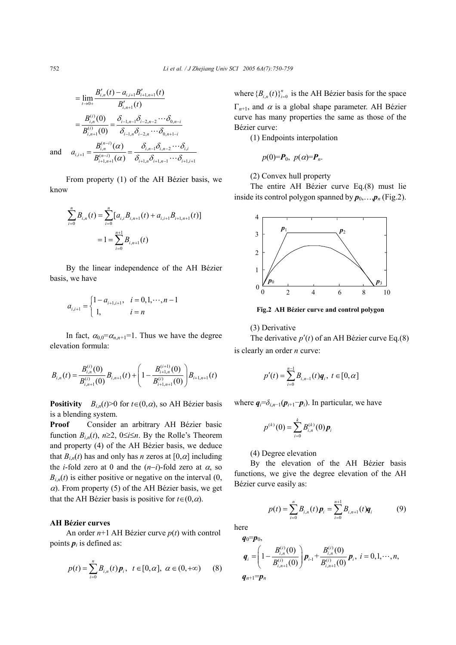$$
= \lim_{t \to 0+} \frac{B'_{i,n}(t) - a_{i,i+1}B'_{i+1,n+1}(t)}{B'_{i,n+1}(t)}
$$
  

$$
= \frac{B_{i,n}^{(i)}(0)}{B_{i,n+1}^{(i)}(0)} = \frac{\delta_{i-1,n-1}\delta_{i-2,n-2}\cdots\delta_{0,n-i}}{\delta_{i-1,n}\delta_{i-2,n}\cdots\delta_{0,n+1-i}}
$$
  
and 
$$
a_{i,i+1} = \frac{B_{i,n}^{(n-i)}(\alpha)}{B_{i+1,n+1}^{(n-i)}(\alpha)} = \frac{\delta_{i,n-1}\delta_{i,n-2}\cdots\delta_{i,i}}{\delta_{i+1,n}\delta_{i+1,n-1}\cdots\delta_{i+1,i+1}}
$$

From property (1) of the AH Bézier basis, we know

$$
\sum_{i=0}^{n} B_{i,n}(t) = \sum_{i=0}^{n} [a_{i,i}B_{i,n+1}(t) + a_{i,i+1}B_{i+1,n+1}(t)]
$$

$$
= 1 = \sum_{i=0}^{n+1} B_{i,n+1}(t)
$$

By the linear independence of the AH Bézier basis, we have

$$
a_{i,i+1} = \begin{cases} 1 - a_{i+1,i+1}, & i = 0,1,\cdots,n-1 \\ 1, & i = n \end{cases}
$$

In fact,  $\alpha_{0,0} = \alpha_{n,n+1} = 1$ . Thus we have the degree elevation formula:

$$
B_{i,n}(t) = \frac{B_{i,n}^{(i)}(0)}{B_{i,n+1}^{(i)}(0)} B_{i,n+1}(t) + \left(1 - \frac{B_{i+1,n}^{(i+1)}(0)}{B_{i+1,n+1}^{(i)}(0)}\right) B_{i+1,n+1}(t)
$$

**Positivity**  $B_{i,n}(t) > 0$  for  $t \in (0, \alpha)$ , so AH Bézier basis is a blending system.

**Proof** Consider an arbitrary AH Bézier basic function  $B_{i,n}(t)$ ,  $n \geq 2$ ,  $0 \leq i \leq n$ . By the Rolle's Theorem and property (4) of the AH Bézier basis, we deduce that  $B_{i,n}(t)$  has and only has *n* zeros at  $[0, \alpha]$  including the *i*-fold zero at 0 and the  $(n-i)$ -fold zero at  $\alpha$ , so  $B_{i,n}(t)$  is either positive or negative on the interval  $(0, t)$  $\alpha$ ). From property (5) of the AH Bézier basis, we get that the AH Bézier basis is positive for  $t \in (0, \alpha)$ .

### **AH Bézier curves**

An order *n*+1 AH Bézier curve *p*(*t*) with control points  $p_i$  is defined as:

$$
p(t) = \sum_{i=0}^{n} B_{i,n}(t) p_i, \ \ t \in [0, \alpha], \ \alpha \in (0, +\infty) \qquad (8)
$$

where  ${B_{i,n}(t)}_{i=0}^n$  is the AH Bézier basis for the space Γ*n*+1, and α is a global shape parameter. AH Bézier curve has many properties the same as those of the Bézier curve:

(1) Endpoints interpolation

$$
p(0)=P_0, p(\alpha)=P_n.
$$

(2) Convex hull property

The entire AH Bézier curve Eq.(8) must lie inside its control polygon spanned by  $p_0$ ,..., $p_n$  (Fig.2).



**Fig.2 AH Bézier curve and control polygon** 

#### (3) Derivative

The derivative  $p'(t)$  of an AH Bézier curve Eq.(8) is clearly an order *n* curve:

$$
p'(t) = \sum_{i=0}^{n-1} B_{i,n-1}(t) \mathbf{q}_i, \ t \in [0,\alpha]
$$

where  $q_i = \delta_{i,n-1}(p_{i+1}-p_i)$ . In particular, we have

$$
p^{(k)}(0) = \sum_{i=0}^{k} B_{i,n}^{(k)}(0) \, \boldsymbol{p}_i
$$

(4) Degree elevation

By the elevation of the AH Bézier basis functions, we give the degree elevation of the AH Bézier curve easily as:

$$
p(t) = \sum_{i=0}^{n} B_{i,n}(t) p_i = \sum_{i=0}^{n+1} B_{i,n+1}(t) q_i
$$
 (9)

here  $q_0 = p_0$ ,

$$
\boldsymbol{q}_{i} = \left(1 - \frac{B_{i,n}^{(i)}(0)}{B_{i,n+1}^{(i)}(0)}\right) \boldsymbol{p}_{i-1} + \frac{B_{i,n}^{(i)}(0)}{B_{i,n+1}^{(i)}(0)} \boldsymbol{p}_{i}, \ i = 0, 1, \cdots, n,
$$
\n
$$
\boldsymbol{q}_{n+1} = \boldsymbol{p}_{n}
$$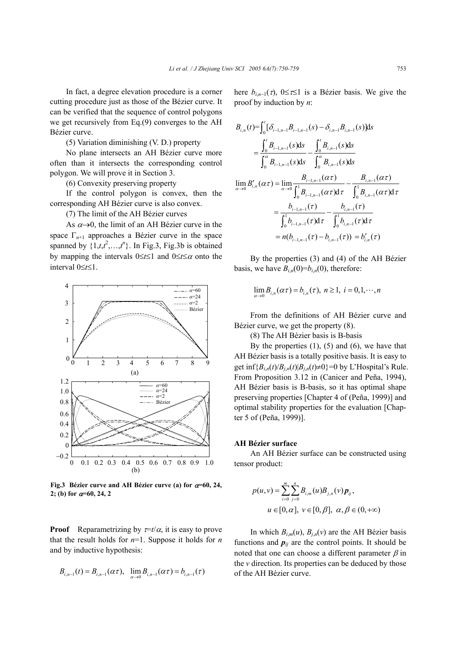In fact, a degree elevation procedure is a corner cutting procedure just as those of the Bézier curve. It can be verified that the sequence of control polygons we get recursively from Eq.(9) converges to the AH Bézier curve.

(5) Variation diminishing (V. D.) property

No plane intersects an AH Bézier curve more often than it intersects the corresponding control polygon. We will prove it in Section 3.

(6) Convexity preserving property

If the control polygon is convex, then the corresponding AH Bézier curve is also convex.

(7) The limit of the AH Bézier curves

As  $\alpha \rightarrow 0$ , the limit of an AH Bézier curve in the space Γ*n*+1 approaches a Bézier curve in the space spanned by  $\{1,t,t^2,...,t^n\}$ . In Fig.3, Fig.3b is obtained by mapping the intervals 0≤*t*≤1 and 0≤*t*≤α onto the interval 0≤*t*≤1.



**Fig.3 Bézier curve and AH Bézier curve (a) for** α**=60, 24, 2; (b) for** α**=60, 24, 2** 

**Proof** Reparametrizing by  $\tau = t/\alpha$ , it is easy to prove that the result holds for  $n=1$ . Suppose it holds for *n* and by inductive hypothesis:

$$
B_{i,n-1}(t) = B_{i,n-1}(\alpha \tau), \quad \lim_{\alpha \to 0} B_{i,n-1}(\alpha \tau) = b_{i,n-1}(\tau)
$$

here  $b_{i,n-1}(\tau)$ ,  $0 \leq \tau \leq 1$  is a Bézier basis. We give the proof by induction by *n*:

$$
B_{i,n}(t) = \int_0^t [\delta_{i-1,n-1}B_{i-1,n-1}(s) - \delta_{i,n-1}B_{i,n-1}(s)]ds
$$
  
\n
$$
= \frac{\int_0^t B_{i-1,n-1}(s)ds}{\int_0^{\alpha} B_{i-1,n-1}(s)ds} - \frac{\int_0^t B_{i,n-1}(s)ds}{\int_0^{\alpha} B_{i,n-1}(s)ds}
$$
  
\n
$$
\lim_{\alpha \to 0} B'_{i,n}(\alpha \tau) = \lim_{\alpha \to 0} \frac{B_{i-1,n-1}(\alpha \tau)}{\int_0^1 B_{i-1,n-1}(\alpha \tau) d\tau} - \frac{B_{i,n-1}(\alpha \tau)}{\int_0^1 B_{i,n-1}(\alpha \tau) d\tau}
$$
  
\n
$$
= \frac{b_{i-1,n-1}(\tau)}{\int_0^1 b_{i-1,n-1}(\tau) d\tau} - \frac{b_{i,n-1}(\tau)}{\int_0^1 b_{i,n-1}(\tau) d\tau}
$$
  
\n
$$
= n(b_{i-1,n-1}(\tau) - b_{i,n-1}(\tau)) = b'_{i,n}(\tau)
$$

By the properties (3) and (4) of the AH Bézier basis, we have  $B_{i,n}(0)=b_{i,n}(0)$ , therefore:

$$
\lim_{\alpha \to 0} B_{i,n}(\alpha \tau) = b_{i,n}(\tau), \ n \ge 1, \ i = 0,1,\cdots,n
$$

From the definitions of AH Bézier curve and Bézier curve, we get the property (8).

(8) The AH Bézier basis is B-basis

By the properties  $(1)$ ,  $(5)$  and  $(6)$ , we have that AH Bézier basis is a totally positive basis. It is easy to get inf ${B_{i,n}(t)}/{B_{i,n}(t)}$  $B_{i,n}(t) \neq 0$ }=0 by L'Hospital's Rule. From Proposition 3.12 in (Canicer and Peña, 1994), AH Bézier basis is B-basis, so it has optimal shape preserving properties [Chapter 4 of (Peña, 1999)] and optimal stability properties for the evaluation [Chapter 5 of (Peña, 1999)].

#### **AH Bézier surface**

An AH Bézier surface can be constructed using tensor product:

$$
p(u, v) = \sum_{i=0}^{m} \sum_{j=0}^{n} B_{i,m}(u) B_{j,n}(v) p_{ij},
$$
  

$$
u \in [0, \alpha], v \in [0, \beta], \alpha, \beta \in (0, +\infty)
$$

In which  $B_{i,m}(u)$ ,  $B_{i,n}(v)$  are the AH Bézier basis functions and  $p_{ij}$  are the control points. It should be noted that one can choose a different parameter  $\beta$  in the *v* direction. Its properties can be deduced by those of the AH Bézier curve.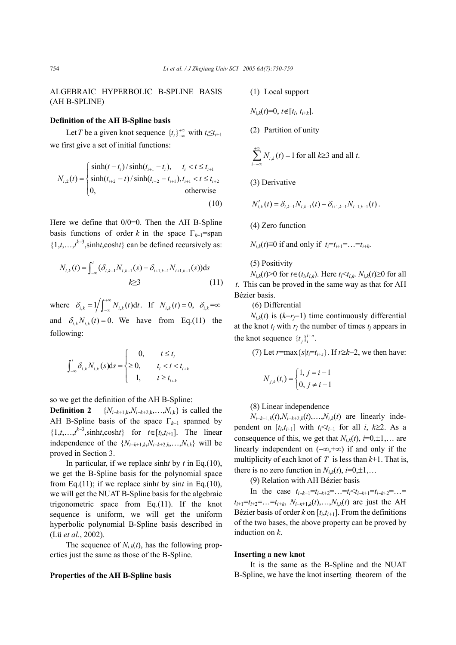ALGEBRAIC HYPERBOLIC B-SPLINE BASIS (AH B-SPLINE)

## **Definition of the AH B-Spline basis**

Let *T* be a given knot sequence  $\{t_i\}_{-\infty}^{+\infty}$  with  $t_i \leq t_{i+1}$ we first give a set of initial functions:

$$
N_{i,2}(t) = \begin{cases} \sinh(t - t_i) / \sinh(t_{i+1} - t_i), & t_i < t \le t_{i+1} \\ \sinh(t_{i+2} - t) / \sinh(t_{i+2} - t_{i+1}), & t_{i+1} < t \le t_{i+2} \\ 0, & \text{otherwise} \end{cases}
$$
(10)

Here we define that 0/0=0. Then the AH B-Spline basis functions of order *k* in the space  $\Gamma_{k-1}$ =span  $\{1,t,\ldots,t^{k-3},\text{sinht},\text{cosh}t\}$  can be defined recursively as:

$$
N_{i,k}(t) = \int_{-\infty}^{t} (\delta_{i,k-1} N_{i,k-1}(s) - \delta_{i+1,k-1} N_{i+1,k-1}(s)) ds
$$
  
 $k \ge 3$  (11)

where  $\delta_{i,k} = 1 / \int_{-\infty}^{+\infty} N_{i,k}(t) dt$ . If  $N_{i,k}(t) = 0$ ,  $\delta_{i,k} = \infty$ and  $\delta_{ijk} N_{ijk}(t) = 0$ . We have from Eq.(11) the following:

$$
\int_{-\infty}^{t} \delta_{i,k} N_{i,k}(s) ds = \begin{cases} 0, & t \le t_i \\ \ge 0, & t_i < t < t_{i+k} \\ 1, & t \ge t_{i+k} \end{cases}
$$

so we get the definition of the AH B-Spline:

**Definition 2**  $\{N_{i-k+1,k}, N_{i-k+2,k}, ..., N_{i,k}\}\)$  is called the AH B-Spline basis of the space Γ*k*<sup>−</sup>1 spanned by  $\{1,t,\ldots,t^{k-3},\text{sinht},\text{cosh}t\}$  for  $t\in[t_i,t_{i+1}]$ . The linear independence of the  ${N_{i-k+1,k}, N_{i-k+2,k},...,N_{i,k}}$  will be proved in Section 3.

In particular, if we replace sinh*t* by *t* in Eq.(10), we get the B-Spline basis for the polynomial space from Eq.(11); if we replace sinh*t* by sin*t* in Eq.(10), we will get the NUAT B-Spline basis for the algebraic trigonometric space from Eq.(11). If the knot sequence is uniform, we will get the uniform hyperbolic polynomial B-Spline basis described in (Lü *et al*., 2002).

The sequence of  $N_{ik}(t)$ , has the following properties just the same as those of the B-Spline.

#### **Properties of the AH B-Spline basis**

(1) Local support

*N*<sub>*i*</sub> $_{k}(t)$ =0,  $t \notin [t_{i}, t_{i+k}]$ .

(2) Partition of unity

$$
\sum_{i=-\infty}^{+\infty} N_{i,k}(t) = 1
$$
 for all  $k \ge 3$  and all  $t$ .

(3) Derivative

$$
N'_{i,k}(t) = \delta_{i,k-1} N_{i,k-1}(t) - \delta_{i+1,k-1} N_{i+1,k-1}(t).
$$

(4) Zero function

*N<sub>ik</sub>*(*t*)≡0 if and only if  $t_i = t_{i+1} = ... = t_{i+k}$ .

(5) Positivity

*N<sub>i,k</sub>*(*t*)>0 for *t*∈(*t<sub>i</sub>,t<sub>i,k</sub>*). Here *t<sub>i</sub>*<*t*<sub>*i,k*</sub>. *N<sub>i,k</sub>*(*t*)≥0 for all *t*. This can be proved in the same way as that for AH Bézier basis.

(6) Differential

 $N_{i,k}(t)$  is  $(k-r_j-1)$  time continuously differential at the knot  $t_j$  with  $r_j$  the number of times  $t_j$  appears in the knot sequence  $\{t_i\}_{i}^{i+n}$ .

(7) Let  $r = \max\{s | t_i = t_{i+s}\}\$ . If  $r \geq k-2$ , we then have:

$$
N_{j,k}(t_i) = \begin{cases} 1, & j = i - 1 \\ 0, & j \neq i - 1 \end{cases}
$$

(8) Linear independence

*N<sub>i−k+1,k</sub>*(*t*),*N<sub>i−k+2,k*</sub>(*t*),…,*N<sub>i,k</sub>*(*t*) are linearly independent on  $[t_i, t_{i+1}]$  with  $t_i \leq t_{i+1}$  for all  $i, k \geq 2$ . As a consequence of this, we get that  $N_{i,k}(t)$ ,  $i=0,\pm 1,...$  are linearly independent on (−∞,+∞) if and only if the multiplicity of each knot of  $T$  is less than  $k+1$ . That is, there is no zero function in  $N_{i,k}(t)$ ,  $i=0,\pm 1,...$ 

(9) Relation with AH Bézier basis

In the case  $t_{i-k+1} = t_{i-k+2} = \ldots = t_i \le t_{i-k+1} = t_{i-k+2} = \ldots =$  $t_{i+1} = t_{i+2} = \ldots = t_{i+k}$ ,  $N_{i-k+1,k}(t), \ldots, N_{i,k}(t)$  are just the AH Bézier basis of order  $k$  on  $[t_i,t_{i+1}]$ . From the definitions of the two bases, the above property can be proved by induction on *k*.

#### **Inserting a new knot**

It is the same as the B-Spline and the NUAT B-Spline, we have the knot inserting theorem of the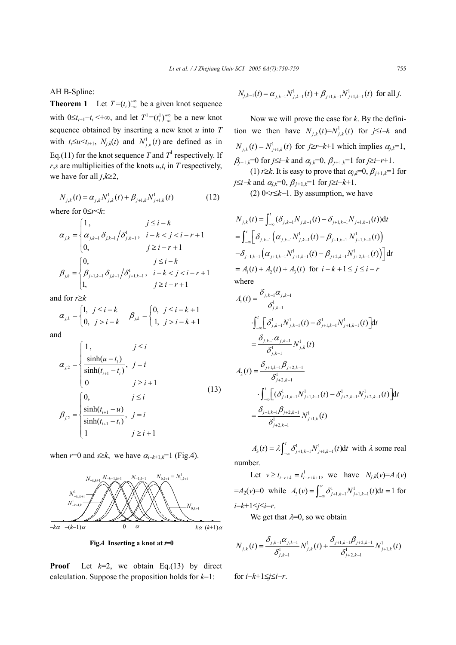AH B-Spline:

**Theorem 1** Let  $T = (t_i)_{-\infty}^{+\infty}$  be a given knot sequence with  $0 \le t_{i+1} - t_i < +\infty$ , and let  $T^1 = (t_i^1)_{-\infty}^{+\infty}$  be a new knot sequence obtained by inserting a new knot *u* into *T* with  $t_i \le u \le t_{i+1}$ ,  $N_{j,k}(t)$  and  $N^1_{j,k}(t)$  are defined as in Eq.(11) for the knot sequence *T* and  $T<sup>1</sup>$  respectively. If  $r$ ,*s* are multiplicities of the knots  $u$ , $t$ <sub>i</sub> in *T* respectively, we have for all *j*,*k*≥2,

$$
N_{j,k}(t) = \alpha_{j,k} N_{j,k}^1(t) + \beta_{j+1,k} N_{j+1,k}^1(t)
$$
 (12)

where for 0≤*r*<*k*:

$$
\alpha_{j,k} = \begin{cases} 1, & j \leq i-k \\ \alpha_{j,k-1} \delta_{j,k-1} / \delta_{j,k-1}^1, & i-k < j < i-r+1 \\ 0, & j \geq i-r+1 \end{cases}
$$
  

$$
\beta_{j,k} = \begin{cases} 0, & j \leq i-k \\ \beta_{j+1,k-1} \delta_{j,k-1} / \delta_{j+1,k-1}^1, & i-k < j < i-r+1 \\ 1, & j \geq i-r+1 \end{cases}
$$

and for *r*≥*k* 

$$
\alpha_{j,k} = \begin{cases} 1, & j \le i - k \\ 0, & j > i - k \end{cases} \quad \beta_{j,k} = \begin{cases} 0, & j \le i - k + 1 \\ 1, & j > i - k + 1 \end{cases}
$$

and

$$
\alpha_{j,2} = \begin{cases}\n1, & j \leq i \\
\frac{\sinh(u - t_i)}{\sinh(t_{i+1} - t_i)}, & j = i \\
0 & j \geq i + 1\n\end{cases}
$$
\n(13)\n
$$
\beta_{j,2} = \begin{cases}\n0, & j \leq i \\
\frac{\sinh(t_{i+1} - u)}{\sinh(t_{i+1} - t_i)}, & j = i \\
1 & j \geq i + 1\n\end{cases}
$$

when  $r=0$  and  $s \geq k$ , we have  $\alpha_{i-k+1,k}=1$  (Fig.4).



**Fig.4 Inserting a knot at** *t***=0**

**Proof** Let  $k=2$ , we obtain Eq.(13) by direct calculation. Suppose the proposition holds for *k*−1:

$$
N_{j,k-1}(t) = \alpha_{j,k-1} N^1_{j,k-1}(t) + \beta_{j+1,k-1} N^1_{j+1,k-1}(t)
$$
 for all j.

Now we will prove the case for *k*. By the definition we then have  $N_{i,k}(t) = N_{i,k}^1(t)$  for  $j \leq i-k$  and  $N_{j,k}(t) = N_{j+1,k}^1(t)$  for  $j \ge r-k+1$  which implies  $\alpha_{j,k}=1$ ,  $\beta_{i+1,k}=0$  for *j*≤*i*−*k* and  $\alpha_{i,k}=0$ ,  $\beta_{i+1,k}=1$  for *j*≥*i*−*r*+1. (1) *r*≥*k*. It is easy to prove that  $\alpha_{i,k}=0$ ,  $\beta_{i+1,k}=1$  for *j*≤*i*−*k* and  $\alpha_{j,k}$ =0,  $\beta_{j+1,k}$ =1 for *j*≥*i*−*k*+1.

(2) 0<*r*≤*k*−1. By assumption, we have

$$
N_{j,k}(t) = \int_{-\infty}^{t} (\delta_{j,k-1} N_{j,k-1}(t) - \delta_{j+1,k-1} N_{j+1,k-1}(t)) dt
$$
  
\n
$$
= \int_{-\infty}^{t} \left[ \delta_{j,k-1} (\alpha_{j,k-1} N_{j,k-1}^1(t) - \beta_{j+1,k-1} N_{j+1,k-1}^1(t)) - \delta_{j+1,k-1} (\alpha_{j+1,k-1} N_{j+1,k-1}^1(t) - \beta_{j+2,k-1} N_{j+2,k-1}^1(t)) \right] dt
$$
  
\n
$$
= A_1(t) + A_2(t) + A_3(t) \text{ for } i - k + 1 \le j \le i - r
$$
  
\nwhere

$$
A_{1}(t) = \frac{\delta_{j,k-1}\alpha_{j,k-1}}{\delta_{j,k-1}^{1}}
$$
  

$$
\int_{-\infty}^{t} \left[\delta_{j,k-1}^{1} N_{j,k-1}^{1}(t) - \delta_{j+1,k-1}^{1} N_{j+1,k-1}^{1}(t)\right] dt
$$
  

$$
= \frac{\delta_{j,k-1}\alpha_{j,k-1}}{\delta_{j,k-1}^{1}} N_{j,k}^{1}(t)
$$
  

$$
A_{2}(t) = \frac{\delta_{j+1,k-1}\beta_{j+2,k-1}}{\delta_{j+2,k-1}^{1}} \cdot \int_{-\infty}^{t} \left[(\delta_{j+1,k-1}^{1} N_{j+1,k-1}^{1}(t) - \delta_{j+2,k-1}^{1} N_{j+2,k-1}^{1}(t)\right] dt
$$
  

$$
= \frac{\delta_{j+1,k-1}\beta_{j+2,k-1}}{\delta_{j+2,k-1}^{1}} N_{j+1,k}^{1}(t)
$$

 $A_3(t) = \lambda \int_{-\infty}^{t} \delta_{j+1,k-1}^1 N_{j+1,k-1}^1(t) dt$  with  $\lambda$  some real number.

Let  $v \ge t_{i-r+k} = t_{i-r+k+1}^1$ , we have  $N_{j,k}(v) = A_1(v)$  $=A_2(v)=0$  while  $A_3(v) = \int_{-\infty}^{v} \delta^1_{j+1,k-1} N^1_{j+1,k-1}(t) dt = 1$  for *i*−*k*+1≤*j*≤*i*−*r*.

We get that  $\lambda=0$ , so we obtain

$$
N_{j,k}(t) = \frac{\delta_{j,k-1}\alpha_{j,k-1}}{\delta_{j,k-1}^1} N_{j,k}^1(t) + \frac{\delta_{j+1,k-1}\beta_{j+2,k-1}}{\delta_{j+2,k-1}^1} N_{j+1,k}^1(t)
$$

for *i*−*k*+1≤*j*≤*i*−*r*.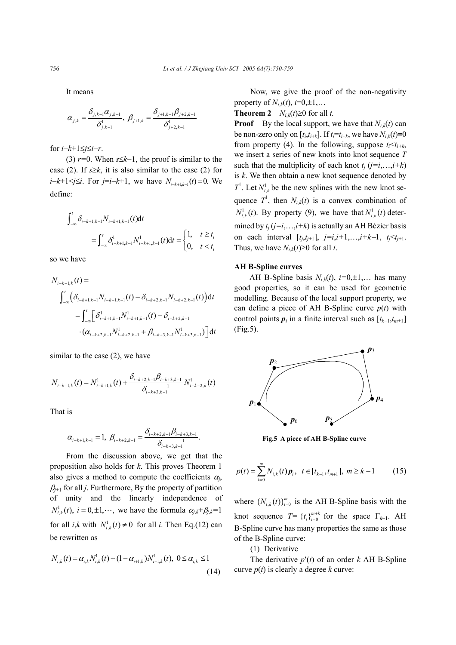It means

$$
\alpha_{j,k} = \frac{\delta_{j,k-1}\alpha_{j,k-1}}{\delta_{j,k-1}^1}, \ \beta_{j+1,k} = \frac{\delta_{j+1,k-1}\beta_{j+2,k-1}}{\delta_{j+2,k-1}^1}
$$

for *i*−*k*+1≤*j*≤*i*−*r*.

(3) *r=*0. When *s*≤*k*−1, the proof is similar to the case (2). If  $s \geq k$ , it is also similar to the case (2) for *i*−*k*+1<*j*≤*i*. For *j*=*i*−*k*+1, we have  $N_{i-k+1,k-1}(t) = 0$ . We define:

$$
\int_{-\infty}^{t} \delta_{i-k+1,k-1} N_{i-k+1,k-1}(t) dt
$$
\n
$$
= \int_{-\infty}^{t} \delta_{i-k+1,k-1}^{1} N_{i-k+1,k-1}^{1}(t) dt = \begin{cases} 1, & t \ge t_i \\ 0, & t < t_i \end{cases}
$$

so we have

$$
N_{i-k+1,k}(t) =
$$
\n
$$
\int_{-\infty}^{t} \left( \delta_{i-k+1,k-1} N_{i-k+1,k-1}(t) - \delta_{i-k+2,k-1} N_{i-k+2,k-1}(t) \right) dt
$$
\n
$$
= \int_{-\infty}^{t} \left[ \delta_{i-k+1,k-1}^{1} N_{i-k+1,k-1}^{1}(t) - \delta_{i-k+2,k-1} N_{i-k+3,k-1}^{1} \right) dt
$$
\n
$$
\cdot \left( \alpha_{i-k+2,k-1} N_{i-k+2,k-1}^{1} + \beta_{i-k+3,k-1} N_{i-k+3,k-1}^{1} \right) dt
$$

similar to the case (2), we have

$$
N_{i-k+1,k}(t) = N_{i-k+1,k}^1(t) + \frac{\delta_{i-k+2,k-1}\beta_{i-k+3,k-1}}{\delta_{i-k+3,k-1}} N_{i-k-2,k}^1(t)
$$

That is

$$
\alpha_{i-k+1,k-1}=1, \ \beta_{i-k+2,k-1}=\frac{\delta_{i-k+2,k-1}\beta_{i-k+3,k-1}}{\delta_{i-k+3,k-1}}.
$$

From the discussion above, we get that the proposition also holds for *k*. This proves Theorem 1 also gives a method to compute the coefficients  $\alpha_i$ ,  $\beta_{i+1}$  for all *j*. Furthermore, By the property of partition of unity and the linearly independence of  $N^1_{i,k}(t)$ ,  $i = 0, \pm 1, \cdots$ , we have the formula  $\alpha_{j,k} + \beta_{j,k} = 1$ for all *i*,*k* with  $N_{i,k}^1(t) \neq 0$  for all *i*. Then Eq.(12) can be rewritten as

$$
N_{i,k}(t) = \alpha_{i,k} N_{i,k}^1(t) + (1 - \alpha_{i+1,k}) N_{i+1,k}^1(t), \ 0 \le \alpha_{i,k} \le 1
$$
\n(14)

Now, we give the proof of the non-negativity property of  $N_{ik}(t)$ ,  $i=0,\pm 1,...$ 

**Theorem 2** *N<sub>ik</sub>*(*t*)≥0 for all *t*.

**Proof** By the local support, we have that  $N_{i,k}(t)$  can be non-zero only on  $[t_i, t_{i+k}]$ . If  $t_i = t_{i+k}$ , we have  $N_{i,k}(t) \equiv 0$ from property (4). In the following, suppose  $t_i < t_{i+k}$ , we insert a series of new knots into knot sequence *T* such that the multiplicity of each knot  $t_i$  ( $j=i,\ldots,i+k$ ) is *k*. We then obtain a new knot sequence denoted by  $T^1$ . Let  $N_{i,k}^1$  be the new splines with the new knot sequence  $T^1$ , then  $N_{i,k}(t)$  is a convex combination of  $N^1_{i,k}(t)$ . By property (9), we have that  $N^1_{i,k}(t)$  determined by  $t_i$  ( $j=i$ ,..., $i+k$ ) is actually an AH Bézier basis on each interval  $[t_j,t_{j+1}], j=i,i+1,...,i+k-1, t_j < t_{j+1}.$ Thus, we have  $N_{i,k}(t) \ge 0$  for all *t*.

### **AH B-Spline curves**

AH B-Spline basis  $N_{i,k}(t)$ ,  $i=0,\pm 1,...$  has many good properties, so it can be used for geometric modelling. Because of the local support property, we can define a piece of AH B-Spline curve  $p(t)$  with control points  $p_i$  in a finite interval such as  $[t_{k-1}, t_{m+1}]$ (Fig.5).



**Fig.5 A piece of AH B-Spline curve** 

$$
p(t) = \sum_{i=0}^{m} N_{i,k}(t) p_i, \quad t \in [t_{k-1}, t_{m+1}], \ m \ge k - 1 \tag{15}
$$

where  $\{N_{i,k}(t)\}_{i=0}^m$  is the AH B-Spline basis with the knot sequence  $T = \{t_i\}_{i=0}^{m+k}$  for the space  $\Gamma_{k-1}$ . AH B-Spline curve has many properties the same as those of the B-Spline curve:

(1) Derivative

The derivative *p*′(*t*) of an order *k* AH B-Spline curve  $p(t)$  is clearly a degree *k* curve: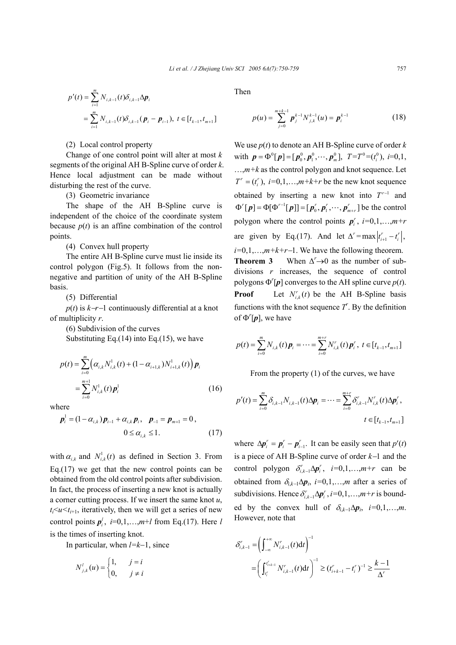$$
p'(t) = \sum_{i=1}^{m} N_{i,k-1}(t)\delta_{i,k-1}\Delta p_i
$$
  
= 
$$
\sum_{i=1}^{m} N_{i,k-1}(t)\delta_{i,k-1}(p_i - p_{i-1}), t \in [t_{k-1}, t_{m+1}]
$$

(2) Local control property

Change of one control point will alter at most *k* segments of the original AH B-Spline curve of order *k*. Hence local adjustment can be made without disturbing the rest of the curve.

(3) Geometric invariance

The shape of the AH B-Spline curve is independent of the choice of the coordinate system because  $p(t)$  is an affine combination of the control points.

(4) Convex hull property

The entire AH B-Spline curve must lie inside its control polygon (Fig.5). It follows from the nonnegative and partition of unity of the AH B-Spline basis.

(5) Differential

*p*(*t*) is *k*−*r*−1 continuously differential at a knot of multiplicity *r*.

(6) Subdivision of the curves Substituting Eq. $(14)$  into Eq. $(15)$ , we have

$$
p(t) = \sum_{i=0}^{m} \left( \alpha_{i,k} N_{i,k}^{1}(t) + (1 - \alpha_{i+1,k}) N_{i+1,k}^{1}(t) \right) \boldsymbol{p}_{i}
$$
  
= 
$$
\sum_{i=0}^{m+1} N_{i,k}^{1}(t) \boldsymbol{p}_{i}^{1}
$$
 (16)

where

$$
\mathbf{p}_{i}^{1} = (1 - \alpha_{i,k}) \mathbf{p}_{i-1} + \alpha_{i,k} \mathbf{p}_{i}, \quad \mathbf{p}_{-1} = \mathbf{p}_{m+1} = 0, 0 \le \alpha_{i,k} \le 1.
$$
 (17)

with  $\alpha_{i,k}$  and  $N^1_{i,k}(t)$  as defined in Section 3. From Eq.(17) we get that the new control points can be obtained from the old control points after subdivision. In fact, the process of inserting a new knot is actually a corner cutting process. If we insert the same knot *u*,  $t_i \le u \le t_{i+1}$ , iteratively, then we will get a series of new control points  $p_i^l$ ,  $i=0,1,...,m+l$  from Eq.(17). Here *l* is the times of inserting knot.

In particular, when *l=k*−1, since

$$
N_{j,k}^l(u) = \begin{cases} 1, & j = i \\ 0, & j \neq i \end{cases}
$$

Then

$$
p(u) = \sum_{j=0}^{m+k-1} p_j^{k-1} N_{j,k}^{k-1}(u) = p_i^{k-1}
$$
 (18)

We use *p*(*t*) to denote an AH B-Spline curve of order *k* with  $p = \Phi^0[p] = [p_0^0, p_1^0, \cdots, p_m^0], T = T^0 = (t_i^0), i = 0, 1,$  $..., m+k$  as the control polygon and knot sequence. Let  $T^r = (t_i^r), i=0,1,\ldots,m+k+r$  be the new knot sequence obtained by inserting a new knot into  $T^{r-1}$  and  $\Phi^r[p] = \Phi[\Phi^{r-1}[p]] = [p_0^r, p_1^r, \dots, p_{m+r}^r]$  be the control polygon where the control points  $p_i^r$ ,  $i=0,1,...,m+r$ are given by Eq.(17). And let  $\Delta^r = \max \left| t_{i+1}^r - t_i^r \right|$ , *i*=0,1,…,*m*+*k*+*r*−1. We have the following theorem.

Theorem 3 When  $\Delta^r \rightarrow 0$  as the number of subdivisions *r* increases, the sequence of control polygons  $\Phi^r[\boldsymbol{p}]$  converges to the AH spline curve  $p(t)$ . **Proof** Let  $N_{i,k}^r(t)$  be the AH B-Spline basis functions with the knot sequence  $T'$ . By the definition of  $\Phi^r[p]$ , we have

$$
p(t) = \sum_{i=0}^{m} N_{i,k}(t) \, \boldsymbol{p}_i = \cdots = \sum_{i=0}^{m+r} N'_{i,k}(t) \, \boldsymbol{p}'_i, \ t \in [t_{k-1}, t_{m+1}]
$$

From the property (1) of the curves, we have

$$
p'(t) = \sum_{i=0}^{m} \delta_{i,k-1} N_{i,k-1}(t) \Delta p_i = \cdots = \sum_{i=0}^{m+r} \delta_{i,k-1}^{r} N_{i,k}^{r}(t) \Delta p_i^{r},
$$
  

$$
t \in [t_{k-1}, t_{m+1}]
$$

where  $\Delta p_i^r = p_i^r - p_{i-1}^r$ . It can be easily seen that  $p'(t)$ is a piece of AH B-Spline curve of order *k*−1 and the control polygon  $\delta_{i,k-1}^r \Delta p_i^r$ ,  $i=0,1,...,m+r$  can be obtained from  $\delta_{ik-1}\Delta p_i$ , *i*=0,1,…,*m* after a series of subdivisions. Hence  $\delta_{i,k-1}^r \Delta p_i^r$ ,  $i=0,1,\ldots,m+r$  is bounded by the convex hull of  $\delta_{i,k-1}\Delta p_i$ , *i*=0,1,...,*m*. However, note that

$$
\delta_{i,k-1}^r = \left(\int_{-\infty}^{+\infty} N_{i,k-1}^r(t)dt\right)^{-1}
$$
  
=  $\left(\int_{t_i^r}^{t_{i,k-1}^r} N_{i,k-1}^r(t)dt\right)^{-1} \ge (t_{i+k-1}^r - t_i^r)^{-1} \ge \frac{k-1}{\Delta^r}$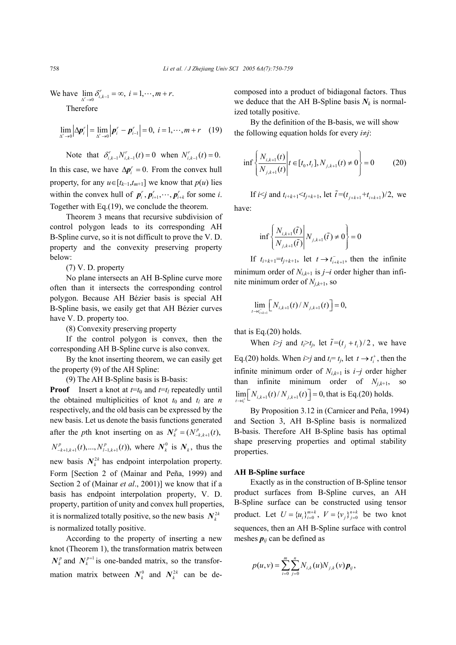We have  $\lim_{\Delta' \to 0} \delta_{i,k-1}^r = \infty$ ,  $i = 1, \dots, m + r$ .  $\lim_{\Delta^r \to 0} \delta^r_{i,k-1} = \infty$ ,  $i = 1, \dots, m+r$ 

Therefore

$$
\lim_{\Delta' \to 0} |\Delta p_i'| = \lim_{\Delta' \to 0} |p_i' - p_{i-1}'| = 0, \ i = 1, \cdots, m + r \quad (19)
$$

Note that  $\delta_{i,k-1}^r N_{i,k-1}^r(t) = 0$  when  $N_{i,k-1}^r(t) = 0$ . In this case, we have  $\Delta p_i^r = 0$ . From the convex hull property, for any  $u \in [t_{k-1}, t_{m+1}]$  we know that  $p(u)$  lies within the convex hull of  $p_i^r, p_{i+1}^r, \dots, p_{i+k}^r$  for some *i*. Together with Eq.(19), we conclude the theorem.

Theorem 3 means that recursive subdivision of control polygon leads to its corresponding AH B-Spline curve, so it is not difficult to prove the V. D. property and the convexity preserving property below:

(7) V. D. property

No plane intersects an AH B-Spline curve more often than it intersects the corresponding control polygon. Because AH Bézier basis is special AH B-Spline basis, we easily get that AH Bézier curves have V. D. property too.

(8) Convexity preserving property

If the control polygon is convex, then the corresponding AH B-Spline curve is also convex.

By the knot inserting theorem, we can easily get the property (9) of the AH Spline:

(9) The AH B-Spline basis is B-basis:

**Proof** Insert a knot at  $t=t_0$  and  $t=t_l$  repeatedly until the obtained multiplicities of knot  $t_0$  and  $t_l$  are *n* respectively, and the old basis can be expressed by the new basis. Let us denote the basis functions generated after the *p*th knot inserting on as  $N_k^p = (N_{-k, k+1}^p(t))$ ,  $N_{-k+1,k+1}^p(t),...,N_{l-1,k+1}^p(t)$ , where  $N_k^0$  is  $N_k$ , thus the new basis  $N_k^{2k}$  has endpoint interpolation property. Form [Section 2 of (Mainar and Peña, 1999) and Section 2 of (Mainar *et al*., 2001)] we know that if a basis has endpoint interpolation property, V. D. property, partition of unity and convex hull properties, it is normalized totally positive, so the new basis  $N_k^{2k}$ is normalized totally positive.

According to the property of inserting a new knot (Theorem 1), the transformation matrix between  $N_k^p$  and  $N_k^{p+1}$  is one-banded matrix, so the transformation matrix between  $N_k^0$  and  $N_k^{2k}$  can be decomposed into a product of bidiagonal factors. Thus we deduce that the AH B-Spline basis  $N_k$  is normalized totally positive.

By the definition of the B-basis, we will show the following equation holds for every *i*≠*j*:

$$
\inf \left\{ \frac{N_{i,k+1}(t)}{N_{j,k+1}(t)} \middle| t \in [t_0, t_i], N_{j,k+1}(t) \neq 0 \right\} = 0 \tag{20}
$$

If *i* $\leq j$  and  $t_{i+k+1} \leq t_{j+k+1}$ , let  $\tilde{t} = (t_{i+k+1} + t_{i+k+1})/2$ , we

have:

$$
\inf \left\{ \frac{N_{i,k+1}(\tilde{t})}{N_{j,k+1}(\tilde{t})} \middle| N_{j,k+1}(\tilde{t}) \neq 0 \right\} = 0
$$

If  $t_{i+k+1} = t_{i+k+1}$ , let  $t \rightarrow t_{i+k+1}$ , then the infinite minimum order of *Ni*,*k*+1 is *j*−*i* order higher than infinite minimum order of  $N_{j,k+1}$ , so

$$
\lim_{t \to t_{i+k+1}^-} \left[ N_{i,k+1}(t) / N_{j,k+1}(t) \right] = 0,
$$

that is Eq.(20) holds.

When  $i > j$  and  $t_i > t_j$ , let  $\tilde{t} = (t_i + t_i)/2$ , we have Eq.(20) holds. When  $i>j$  and  $t_i = t_j$ , let  $t \rightarrow t_i^+$ , then the infinite minimum order of *Ni*,*k*+1 is *i*−*j* order higher than infinite minimum order of *Nj*,*k*+1, so  $\lim_{t \to t_i^+} \left[ N_{i,k+1}(t) / N_{j,k+1}(t) \right] = 0$ , that is Eq.(20) holds.

By Proposition 3.12 in (Carnicer and Peña, 1994) and Section 3, AH B-Spline basis is normalized B-basis. Therefore AH B-Spline basis has optimal shape preserving properties and optimal stability properties.

#### **AH B-Spline surface**

Exactly as in the construction of B-Spline tensor product surfaces from B-Spline curves, an AH B-Spline surface can be constructed using tensor product. Let  $U = {u_i}_{i=0}^{m+k}$ ,  $V = {v_j}_{j=0}^{n+k}$  be two knot sequences, then an AH B-Spline surface with control meshes  $p_{ij}$  can be defined as

$$
p(u, v) = \sum_{i=0}^{m} \sum_{j=0}^{n} N_{i,k}(u) N_{j,k}(v) p_{ij},
$$